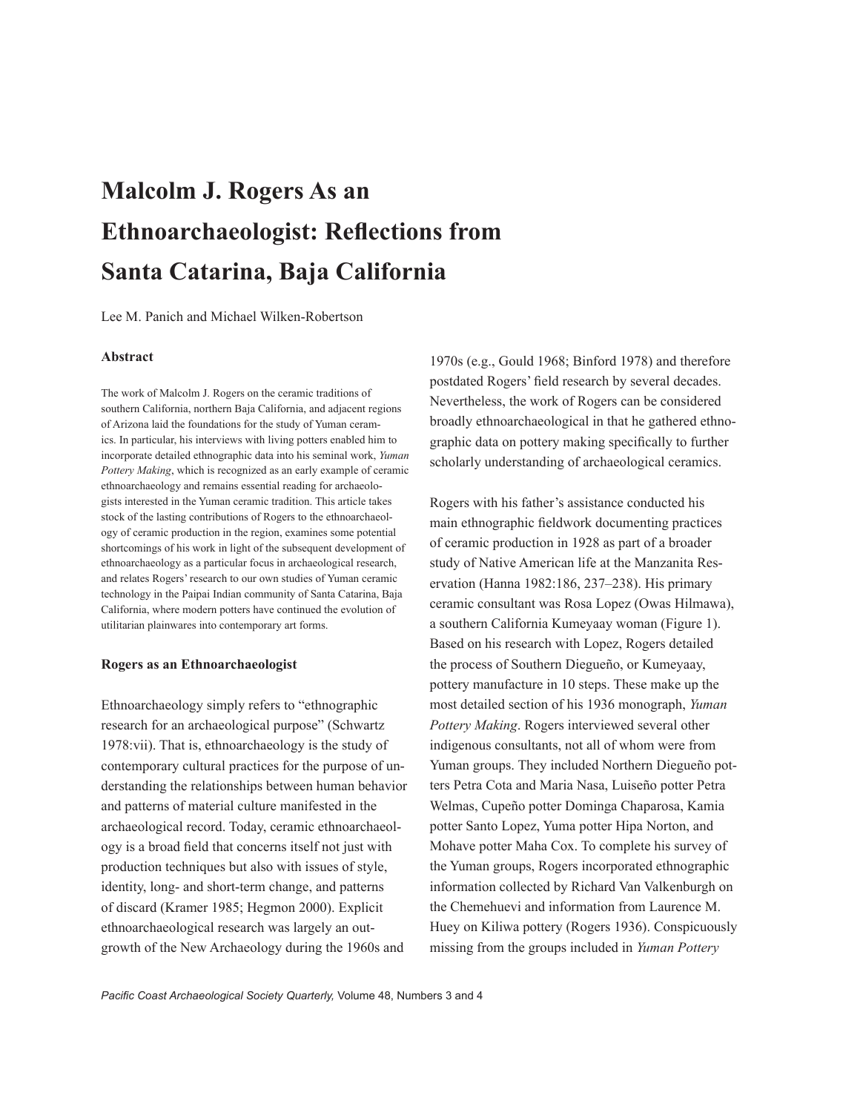# **Malcolm J. Rogers As an Ethnoarchaeologist: Reflections from Santa Catarina, Baja California**

Lee M. Panich and Michael Wilken-Robertson

#### **Abstract**

The work of Malcolm J. Rogers on the ceramic traditions of southern California, northern Baja California, and adjacent regions of Arizona laid the foundations for the study of Yuman ceramics. In particular, his interviews with living potters enabled him to incorporate detailed ethnographic data into his seminal work, *Yuman Pottery Making*, which is recognized as an early example of ceramic ethnoarchaeology and remains essential reading for archaeologists interested in the Yuman ceramic tradition. This article takes stock of the lasting contributions of Rogers to the ethnoarchaeology of ceramic production in the region, examines some potential shortcomings of his work in light of the subsequent development of ethnoarchaeology as a particular focus in archaeological research, and relates Rogers' research to our own studies of Yuman ceramic technology in the Paipai Indian community of Santa Catarina, Baja California, where modern potters have continued the evolution of utilitarian plainwares into contemporary art forms.

#### **Rogers as an Ethnoarchaeologist**

Ethnoarchaeology simply refers to "ethnographic research for an archaeological purpose" (Schwartz 1978:vii). That is, ethnoarchaeology is the study of contemporary cultural practices for the purpose of understanding the relationships between human behavior and patterns of material culture manifested in the archaeological record. Today, ceramic ethnoarchaeology is a broad field that concerns itself not just with production techniques but also with issues of style, identity, long- and short-term change, and patterns of discard (Kramer 1985; Hegmon 2000). Explicit ethnoarchaeological research was largely an outgrowth of the New Archaeology during the 1960s and

1970s (e.g., Gould 1968; Binford 1978) and therefore postdated Rogers' field research by several decades. Nevertheless, the work of Rogers can be considered broadly ethnoarchaeological in that he gathered ethnographic data on pottery making specifically to further scholarly understanding of archaeological ceramics.

Rogers with his father's assistance conducted his main ethnographic fieldwork documenting practices of ceramic production in 1928 as part of a broader study of Native American life at the Manzanita Reservation (Hanna 1982:186, 237–238). His primary ceramic consultant was Rosa Lopez (Owas Hilmawa), a southern California Kumeyaay woman (Figure 1). Based on his research with Lopez, Rogers detailed the process of Southern Diegueño, or Kumeyaay, pottery manufacture in 10 steps. These make up the most detailed section of his 1936 monograph, *Yuman Pottery Making*. Rogers interviewed several other indigenous consultants, not all of whom were from Yuman groups. They included Northern Diegueño potters Petra Cota and Maria Nasa, Luiseño potter Petra Welmas, Cupeño potter Dominga Chaparosa, Kamia potter Santo Lopez, Yuma potter Hipa Norton, and Mohave potter Maha Cox. To complete his survey of the Yuman groups, Rogers incorporated ethnographic information collected by Richard Van Valkenburgh on the Chemehuevi and information from Laurence M. Huey on Kiliwa pottery (Rogers 1936). Conspicuously missing from the groups included in *Yuman Pottery*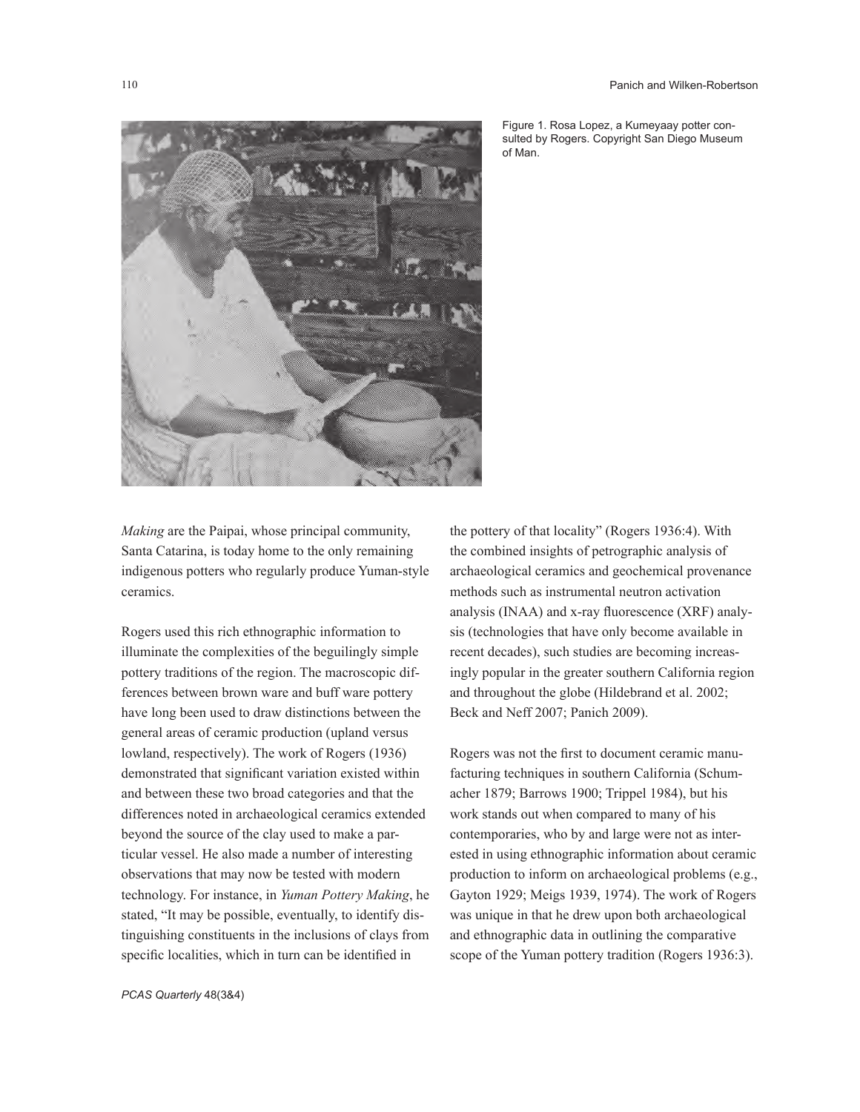

Figure 1. Rosa Lopez, a Kumeyaay potter consulted by Rogers. Copyright San Diego Museum of Man.

*Making* are the Paipai, whose principal community, Santa Catarina, is today home to the only remaining indigenous potters who regularly produce Yuman-style ceramics.

Rogers used this rich ethnographic information to illuminate the complexities of the beguilingly simple pottery traditions of the region. The macroscopic differences between brown ware and buff ware pottery have long been used to draw distinctions between the general areas of ceramic production (upland versus lowland, respectively). The work of Rogers (1936) demonstrated that significant variation existed within and between these two broad categories and that the differences noted in archaeological ceramics extended beyond the source of the clay used to make a particular vessel. He also made a number of interesting observations that may now be tested with modern technology. For instance, in *Yuman Pottery Making*, he stated, "It may be possible, eventually, to identify distinguishing constituents in the inclusions of clays from specific localities, which in turn can be identified in

the pottery of that locality" (Rogers 1936:4). With the combined insights of petrographic analysis of archaeological ceramics and geochemical provenance methods such as instrumental neutron activation analysis (INAA) and x-ray fluorescence (XRF) analysis (technologies that have only become available in recent decades), such studies are becoming increasingly popular in the greater southern California region and throughout the globe (Hildebrand et al. 2002; Beck and Neff 2007; Panich 2009).

Rogers was not the first to document ceramic manufacturing techniques in southern California (Schumacher 1879; Barrows 1900; Trippel 1984), but his work stands out when compared to many of his contemporaries, who by and large were not as interested in using ethnographic information about ceramic production to inform on archaeological problems (e.g., Gayton 1929; Meigs 1939, 1974). The work of Rogers was unique in that he drew upon both archaeological and ethnographic data in outlining the comparative scope of the Yuman pottery tradition (Rogers 1936:3).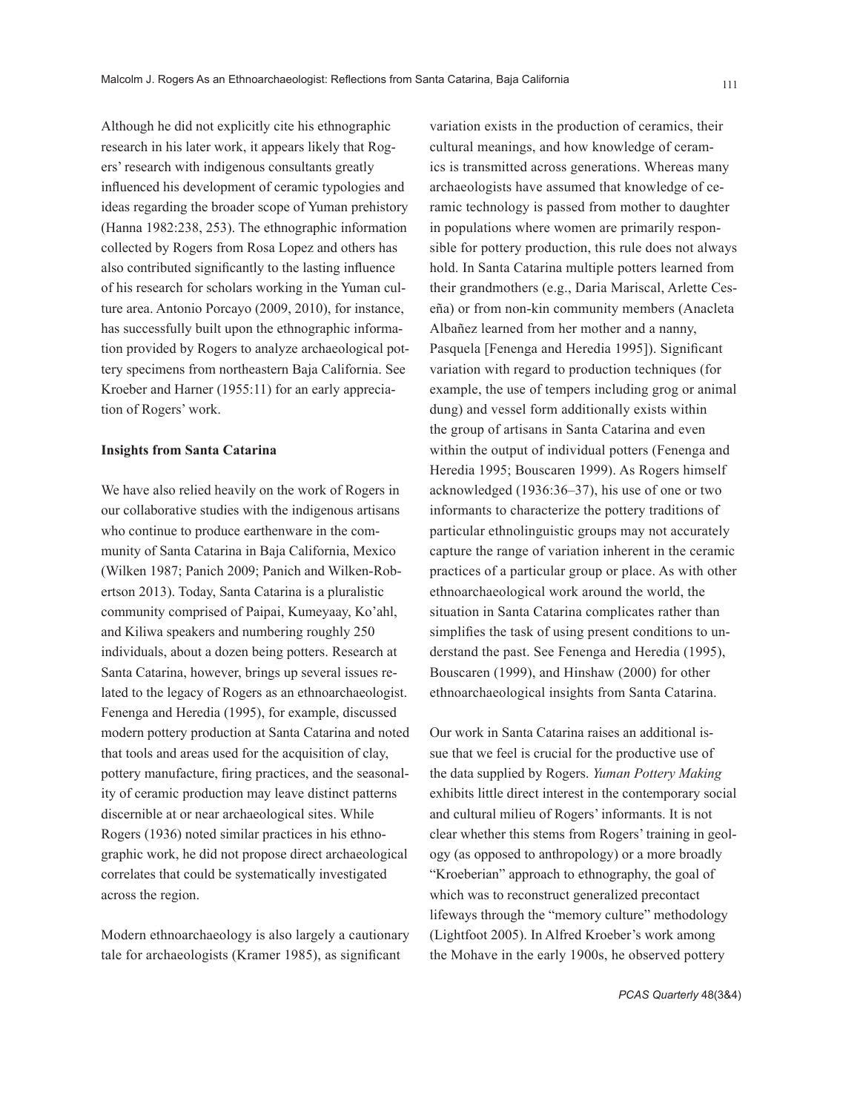Although he did not explicitly cite his ethnographic research in his later work, it appears likely that Rogers' research with indigenous consultants greatly influenced his development of ceramic typologies and ideas regarding the broader scope of Yuman prehistory (Hanna 1982:238, 253). The ethnographic information collected by Rogers from Rosa Lopez and others has also contributed significantly to the lasting influence of his research for scholars working in the Yuman culture area. Antonio Porcayo (2009, 2010), for instance, has successfully built upon the ethnographic information provided by Rogers to analyze archaeological pottery specimens from northeastern Baja California. See Kroeber and Harner (1955:11) for an early appreciation of Rogers' work.

#### **Insights from Santa Catarina**

We have also relied heavily on the work of Rogers in our collaborative studies with the indigenous artisans who continue to produce earthenware in the community of Santa Catarina in Baja California, Mexico (Wilken 1987; Panich 2009; Panich and Wilken-Robertson 2013). Today, Santa Catarina is a pluralistic community comprised of Paipai, Kumeyaay, Ko'ahl, and Kiliwa speakers and numbering roughly 250 individuals, about a dozen being potters. Research at Santa Catarina, however, brings up several issues related to the legacy of Rogers as an ethnoarchaeologist. Fenenga and Heredia (1995), for example, discussed modern pottery production at Santa Catarina and noted that tools and areas used for the acquisition of clay, pottery manufacture, firing practices, and the seasonality of ceramic production may leave distinct patterns discernible at or near archaeological sites. While Rogers (1936) noted similar practices in his ethnographic work, he did not propose direct archaeological correlates that could be systematically investigated across the region.

Modern ethnoarchaeology is also largely a cautionary tale for archaeologists (Kramer 1985), as significant

variation exists in the production of ceramics, their cultural meanings, and how knowledge of ceramics is transmitted across generations. Whereas many archaeologists have assumed that knowledge of ceramic technology is passed from mother to daughter in populations where women are primarily responsible for pottery production, this rule does not always hold. In Santa Catarina multiple potters learned from their grandmothers (e.g., Daria Mariscal, Arlette Ceseña) or from non-kin community members (Anacleta Albañez learned from her mother and a nanny, Pasquela [Fenenga and Heredia 1995]). Significant variation with regard to production techniques (for example, the use of tempers including grog or animal dung) and vessel form additionally exists within the group of artisans in Santa Catarina and even within the output of individual potters (Fenenga and Heredia 1995; Bouscaren 1999). As Rogers himself acknowledged (1936:36–37), his use of one or two informants to characterize the pottery traditions of particular ethnolinguistic groups may not accurately capture the range of variation inherent in the ceramic practices of a particular group or place. As with other ethnoarchaeological work around the world, the situation in Santa Catarina complicates rather than simplifies the task of using present conditions to understand the past. See Fenenga and Heredia (1995), Bouscaren (1999), and Hinshaw (2000) for other ethnoarchaeological insights from Santa Catarina.

Our work in Santa Catarina raises an additional issue that we feel is crucial for the productive use of the data supplied by Rogers. *Yuman Pottery Making* exhibits little direct interest in the contemporary social and cultural milieu of Rogers' informants. It is not clear whether this stems from Rogers' training in geology (as opposed to anthropology) or a more broadly "Kroeberian" approach to ethnography, the goal of which was to reconstruct generalized precontact lifeways through the "memory culture" methodology (Lightfoot 2005). In Alfred Kroeber's work among the Mohave in the early 1900s, he observed pottery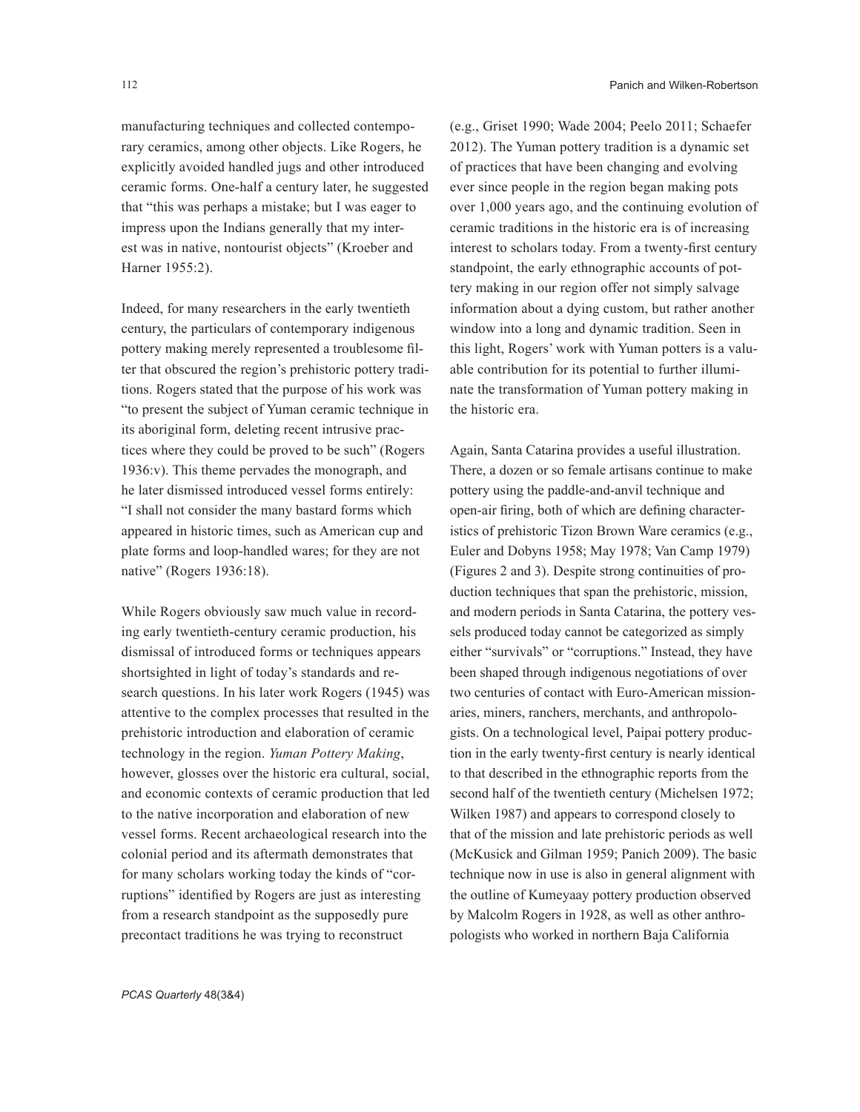manufacturing techniques and collected contemporary ceramics, among other objects. Like Rogers, he explicitly avoided handled jugs and other introduced ceramic forms. One-half a century later, he suggested that "this was perhaps a mistake; but I was eager to impress upon the Indians generally that my interest was in native, nontourist objects" (Kroeber and Harner 1955:2).

Indeed, for many researchers in the early twentieth century, the particulars of contemporary indigenous pottery making merely represented a troublesome filter that obscured the region's prehistoric pottery traditions. Rogers stated that the purpose of his work was "to present the subject of Yuman ceramic technique in its aboriginal form, deleting recent intrusive practices where they could be proved to be such" (Rogers 1936:v). This theme pervades the monograph, and he later dismissed introduced vessel forms entirely: "I shall not consider the many bastard forms which appeared in historic times, such as American cup and plate forms and loop-handled wares; for they are not native" (Rogers 1936:18).

While Rogers obviously saw much value in recording early twentieth-century ceramic production, his dismissal of introduced forms or techniques appears shortsighted in light of today's standards and research questions. In his later work Rogers (1945) was attentive to the complex processes that resulted in the prehistoric introduction and elaboration of ceramic technology in the region. *Yuman Pottery Making*, however, glosses over the historic era cultural, social, and economic contexts of ceramic production that led to the native incorporation and elaboration of new vessel forms. Recent archaeological research into the colonial period and its aftermath demonstrates that for many scholars working today the kinds of "corruptions" identified by Rogers are just as interesting from a research standpoint as the supposedly pure precontact traditions he was trying to reconstruct

(e.g., Griset 1990; Wade 2004; Peelo 2011; Schaefer 2012). The Yuman pottery tradition is a dynamic set of practices that have been changing and evolving ever since people in the region began making pots over 1,000 years ago, and the continuing evolution of ceramic traditions in the historic era is of increasing interest to scholars today. From a twenty-first century standpoint, the early ethnographic accounts of pottery making in our region offer not simply salvage information about a dying custom, but rather another window into a long and dynamic tradition. Seen in this light, Rogers' work with Yuman potters is a valuable contribution for its potential to further illuminate the transformation of Yuman pottery making in the historic era.

Again, Santa Catarina provides a useful illustration. There, a dozen or so female artisans continue to make pottery using the paddle-and-anvil technique and open-air firing, both of which are defining characteristics of prehistoric Tizon Brown Ware ceramics (e.g., Euler and Dobyns 1958; May 1978; Van Camp 1979) (Figures 2 and 3). Despite strong continuities of production techniques that span the prehistoric, mission, and modern periods in Santa Catarina, the pottery vessels produced today cannot be categorized as simply either "survivals" or "corruptions." Instead, they have been shaped through indigenous negotiations of over two centuries of contact with Euro-American missionaries, miners, ranchers, merchants, and anthropologists. On a technological level, Paipai pottery production in the early twenty-first century is nearly identical to that described in the ethnographic reports from the second half of the twentieth century (Michelsen 1972; Wilken 1987) and appears to correspond closely to that of the mission and late prehistoric periods as well (McKusick and Gilman 1959; Panich 2009). The basic technique now in use is also in general alignment with the outline of Kumeyaay pottery production observed by Malcolm Rogers in 1928, as well as other anthropologists who worked in northern Baja California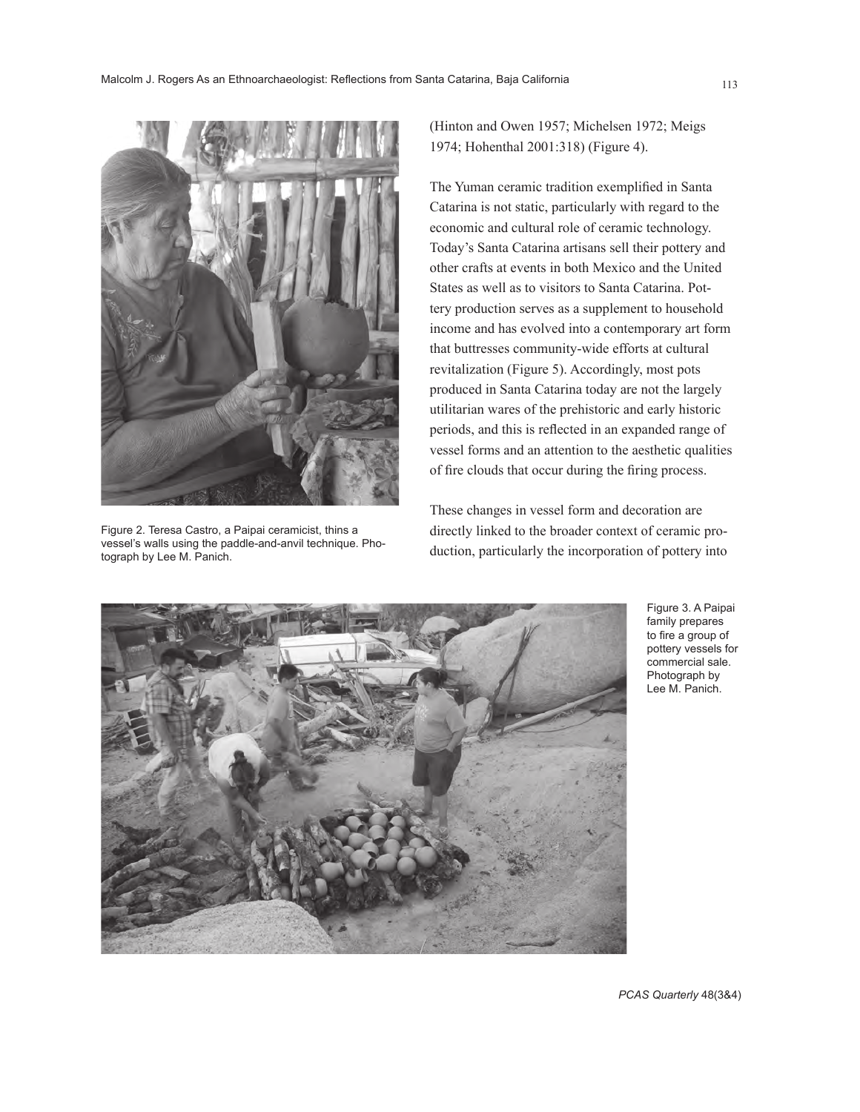

Figure 2. Teresa Castro, a Paipai ceramicist, thins a vessel's walls using the paddle-and-anvil technique. Photograph by Lee M. Panich.

(Hinton and Owen 1957; Michelsen 1972; Meigs 1974; Hohenthal 2001:318) (Figure 4).

The Yuman ceramic tradition exemplified in Santa Catarina is not static, particularly with regard to the economic and cultural role of ceramic technology. Today's Santa Catarina artisans sell their pottery and other crafts at events in both Mexico and the United States as well as to visitors to Santa Catarina. Pottery production serves as a supplement to household income and has evolved into a contemporary art form that buttresses community-wide efforts at cultural revitalization (Figure 5). Accordingly, most pots produced in Santa Catarina today are not the largely utilitarian wares of the prehistoric and early historic periods, and this is reflected in an expanded range of vessel forms and an attention to the aesthetic qualities of fire clouds that occur during the firing process.

These changes in vessel form and decoration are directly linked to the broader context of ceramic production, particularly the incorporation of pottery into



Figure 3. A Paipai family prepares to fire a group of pottery vessels for commercial sale. Photograph by Lee M. Panich.

*PCAS Quarterly* 48(3&4)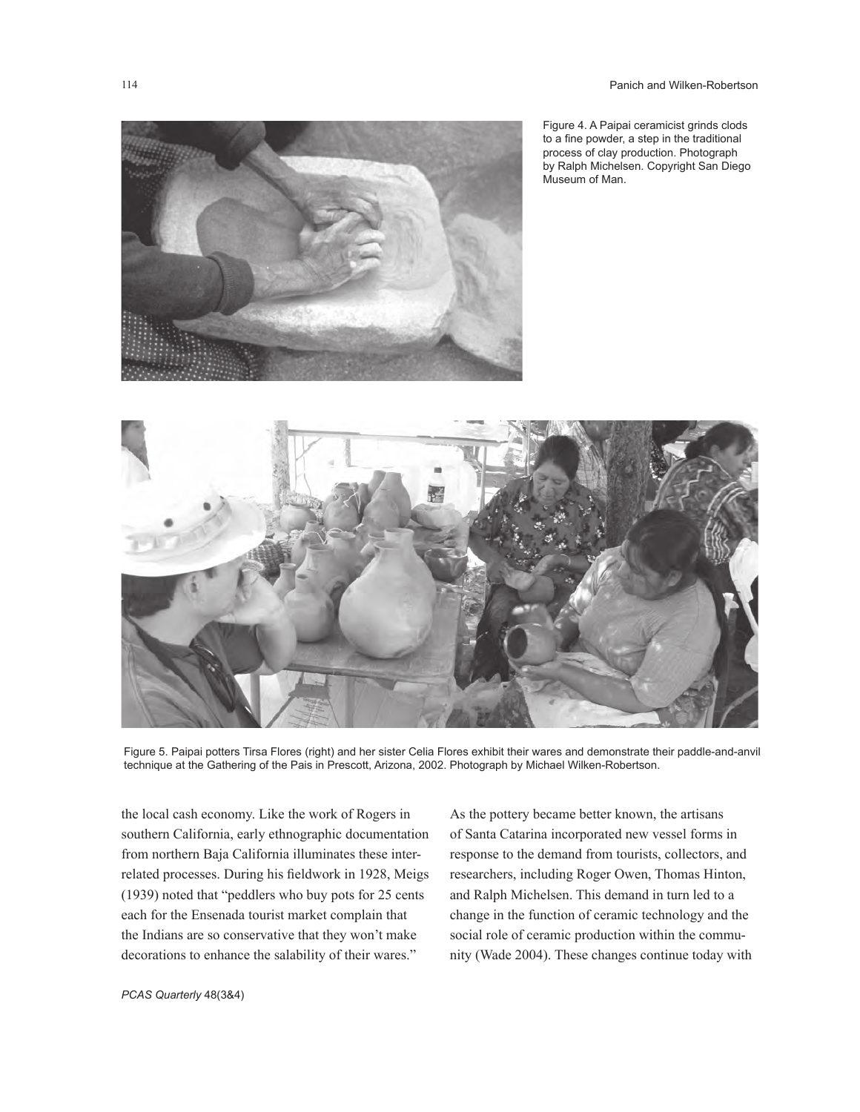

Figure 4. A Paipai ceramicist grinds clods to a fine powder, a step in the traditional process of clay production. Photograph by Ralph Michelsen. Copyright San Diego Museum of Man.



Figure 5. Paipai potters Tirsa Flores (right) and her sister Celia Flores exhibit their wares and demonstrate their paddle-and-anvil technique at the Gathering of the Pais in Prescott, Arizona, 2002. Photograph by Michael Wilken-Robertson.

the local cash economy. Like the work of Rogers in southern California, early ethnographic documentation from northern Baja California illuminates these interrelated processes. During his fieldwork in 1928, Meigs (1939) noted that "peddlers who buy pots for 25 cents each for the Ensenada tourist market complain that the Indians are so conservative that they won't make decorations to enhance the salability of their wares."

As the pottery became better known, the artisans of Santa Catarina incorporated new vessel forms in response to the demand from tourists, collectors, and researchers, including Roger Owen, Thomas Hinton, and Ralph Michelsen. This demand in turn led to a change in the function of ceramic technology and the social role of ceramic production within the community (Wade 2004). These changes continue today with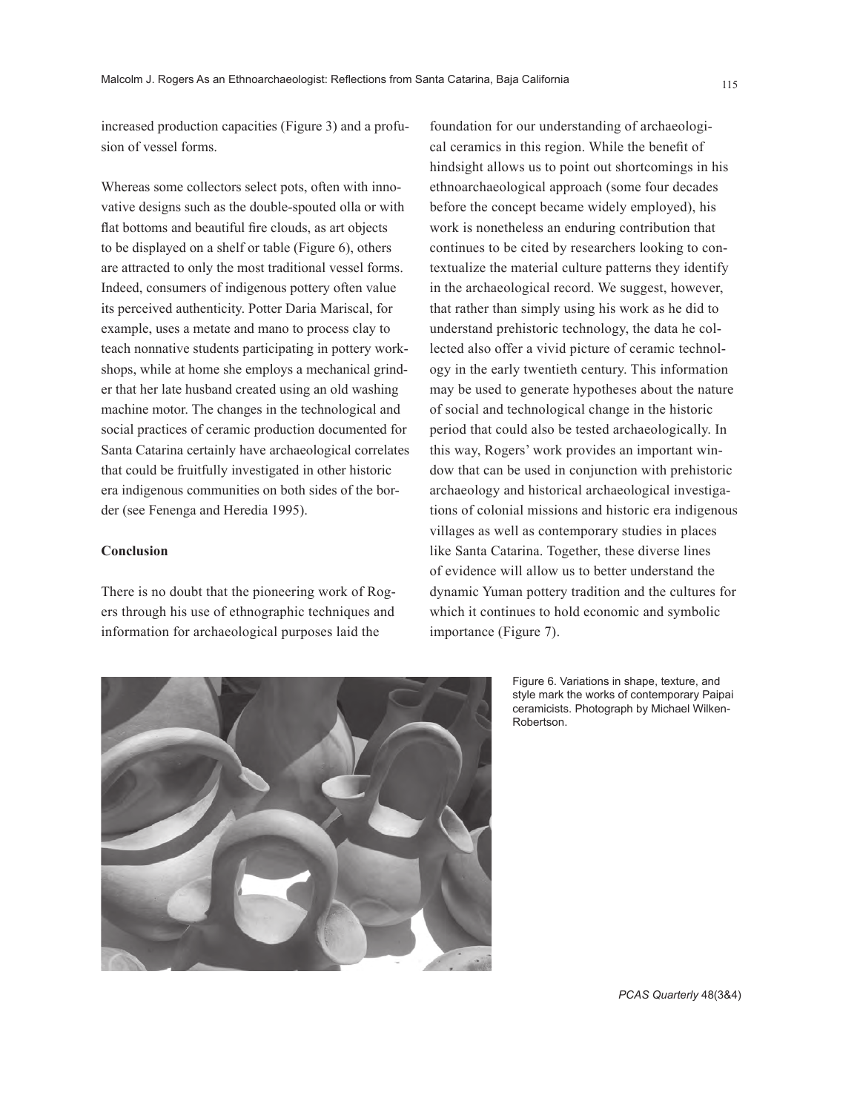increased production capacities (Figure 3) and a profusion of vessel forms.

Whereas some collectors select pots, often with innovative designs such as the double-spouted olla or with flat bottoms and beautiful fire clouds, as art objects to be displayed on a shelf or table (Figure 6), others are attracted to only the most traditional vessel forms. Indeed, consumers of indigenous pottery often value its perceived authenticity. Potter Daria Mariscal, for example, uses a metate and mano to process clay to teach nonnative students participating in pottery workshops, while at home she employs a mechanical grinder that her late husband created using an old washing machine motor. The changes in the technological and social practices of ceramic production documented for Santa Catarina certainly have archaeological correlates that could be fruitfully investigated in other historic era indigenous communities on both sides of the border (see Fenenga and Heredia 1995).

## **Conclusion**

There is no doubt that the pioneering work of Rogers through his use of ethnographic techniques and information for archaeological purposes laid the

foundation for our understanding of archaeological ceramics in this region. While the benefit of hindsight allows us to point out shortcomings in his ethnoarchaeological approach (some four decades before the concept became widely employed), his work is nonetheless an enduring contribution that continues to be cited by researchers looking to contextualize the material culture patterns they identify in the archaeological record. We suggest, however, that rather than simply using his work as he did to understand prehistoric technology, the data he collected also offer a vivid picture of ceramic technology in the early twentieth century. This information may be used to generate hypotheses about the nature of social and technological change in the historic period that could also be tested archaeologically. In this way, Rogers' work provides an important window that can be used in conjunction with prehistoric archaeology and historical archaeological investigations of colonial missions and historic era indigenous villages as well as contemporary studies in places like Santa Catarina. Together, these diverse lines of evidence will allow us to better understand the dynamic Yuman pottery tradition and the cultures for which it continues to hold economic and symbolic importance (Figure 7).



Figure 6. Variations in shape, texture, and style mark the works of contemporary Paipai ceramicists. Photograph by Michael Wilken-Robertson.

*PCAS Quarterly* 48(3&4)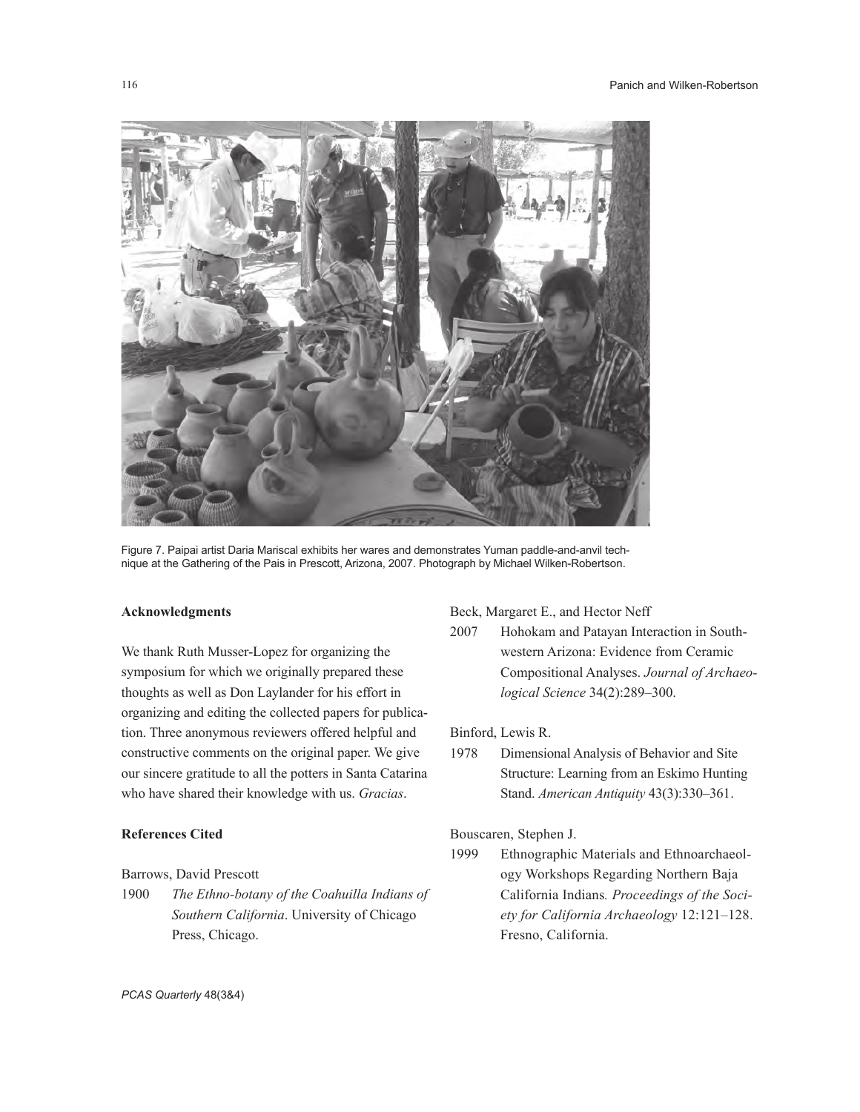

Figure 7. Paipai artist Daria Mariscal exhibits her wares and demonstrates Yuman paddle-and-anvil technique at the Gathering of the Pais in Prescott, Arizona, 2007. Photograph by Michael Wilken-Robertson.

# **Acknowledgments**

We thank Ruth Musser-Lopez for organizing the symposium for which we originally prepared these thoughts as well as Don Laylander for his effort in organizing and editing the collected papers for publication. Three anonymous reviewers offered helpful and constructive comments on the original paper. We give our sincere gratitude to all the potters in Santa Catarina who have shared their knowledge with us. *Gracias*.

# **References Cited**

# Barrows, David Prescott

1900 *The Ethno-botany of the Coahuilla Indians of Southern California*. University of Chicago Press, Chicago.

#### Beck, Margaret E., and Hector Neff

2007 Hohokam and Patayan Interaction in Southwestern Arizona: Evidence from Ceramic Compositional Analyses. *Journal of Archaeological Science* 34(2):289–300.

# Binford, Lewis R.

1978 Dimensional Analysis of Behavior and Site Structure: Learning from an Eskimo Hunting Stand. *American Antiquity* 43(3):330–361.

## Bouscaren, Stephen J.

1999 Ethnographic Materials and Ethnoarchaeology Workshops Regarding Northern Baja California Indians*. Proceedings of the Society for California Archaeology* 12:121–128. Fresno, California.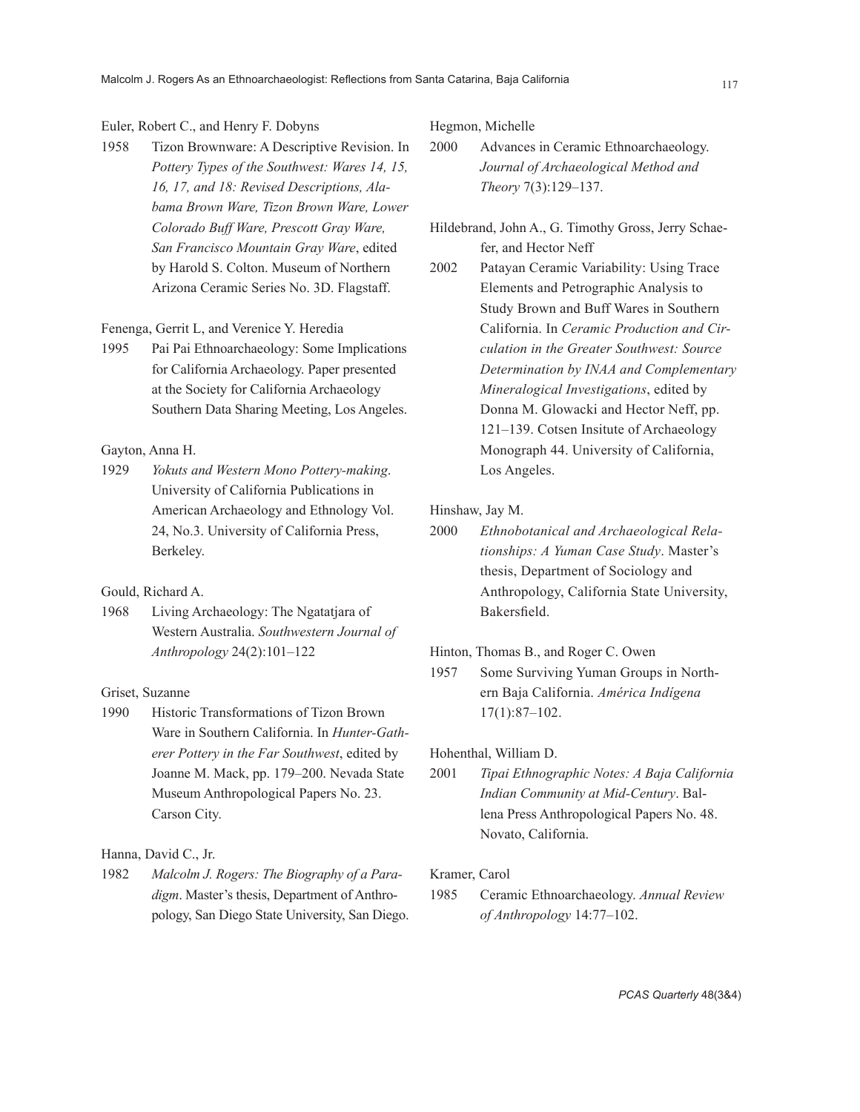# Euler, Robert C., and Henry F. Dobyns

1958 Tizon Brownware: A Descriptive Revision. In *Pottery Types of the Southwest: Wares 14, 15, 16, 17, and 18: Revised Descriptions, Alabama Brown Ware, Tizon Brown Ware, Lower Colorado Buff Ware, Prescott Gray Ware, San Francisco Mountain Gray Ware*, edited by Harold S. Colton. Museum of Northern Arizona Ceramic Series No. 3D. Flagstaff.

## Fenenga, Gerrit L, and Verenice Y. Heredia

1995 Pai Pai Ethnoarchaeology: Some Implications for California Archaeology. Paper presented at the Society for California Archaeology Southern Data Sharing Meeting, Los Angeles.

# Gayton, Anna H.

1929 *Yokuts and Western Mono Pottery-making*. University of California Publications in American Archaeology and Ethnology Vol. 24, No.3. University of California Press, Berkeley.

# Gould, Richard A.

1968 Living Archaeology: The Ngatatjara of Western Australia. *Southwestern Journal of Anthropology* 24(2):101–122

#### Griset, Suzanne

1990 Historic Transformations of Tizon Brown Ware in Southern California. In *Hunter-Gatherer Pottery in the Far Southwest*, edited by Joanne M. Mack, pp. 179–200. Nevada State Museum Anthropological Papers No. 23. Carson City.

#### Hanna, David C., Jr.

1982 *Malcolm J. Rogers: The Biography of a Paradigm*. Master's thesis, Department of Anthropology, San Diego State University, San Diego. Hegmon, Michelle

- 2000 Advances in Ceramic Ethnoarchaeology. *Journal of Archaeological Method and Theory* 7(3):129–137.
- Hildebrand, John A., G. Timothy Gross, Jerry Schaefer, and Hector Neff
- 2002 Patayan Ceramic Variability: Using Trace Elements and Petrographic Analysis to Study Brown and Buff Wares in Southern California. In *Ceramic Production and Circulation in the Greater Southwest: Source Determination by INAA and Complementary Mineralogical Investigations*, edited by Donna M. Glowacki and Hector Neff, pp. 121–139. Cotsen Insitute of Archaeology Monograph 44. University of California, Los Angeles.

## Hinshaw, Jay M.

2000 *Ethnobotanical and Archaeological Relationships: A Yuman Case Study*. Master's thesis, Department of Sociology and Anthropology, California State University, Bakersfield.

#### Hinton, Thomas B., and Roger C. Owen

1957 Some Surviving Yuman Groups in Northern Baja California. *América Indígena*  17(1):87–102.

#### Hohenthal, William D.

2001 *Tipai Ethnographic Notes: A Baja California Indian Community at Mid-Century*. Ballena Press Anthropological Papers No. 48. Novato, California.

#### Kramer, Carol

1985 Ceramic Ethnoarchaeology. *Annual Review of Anthropology* 14:77–102.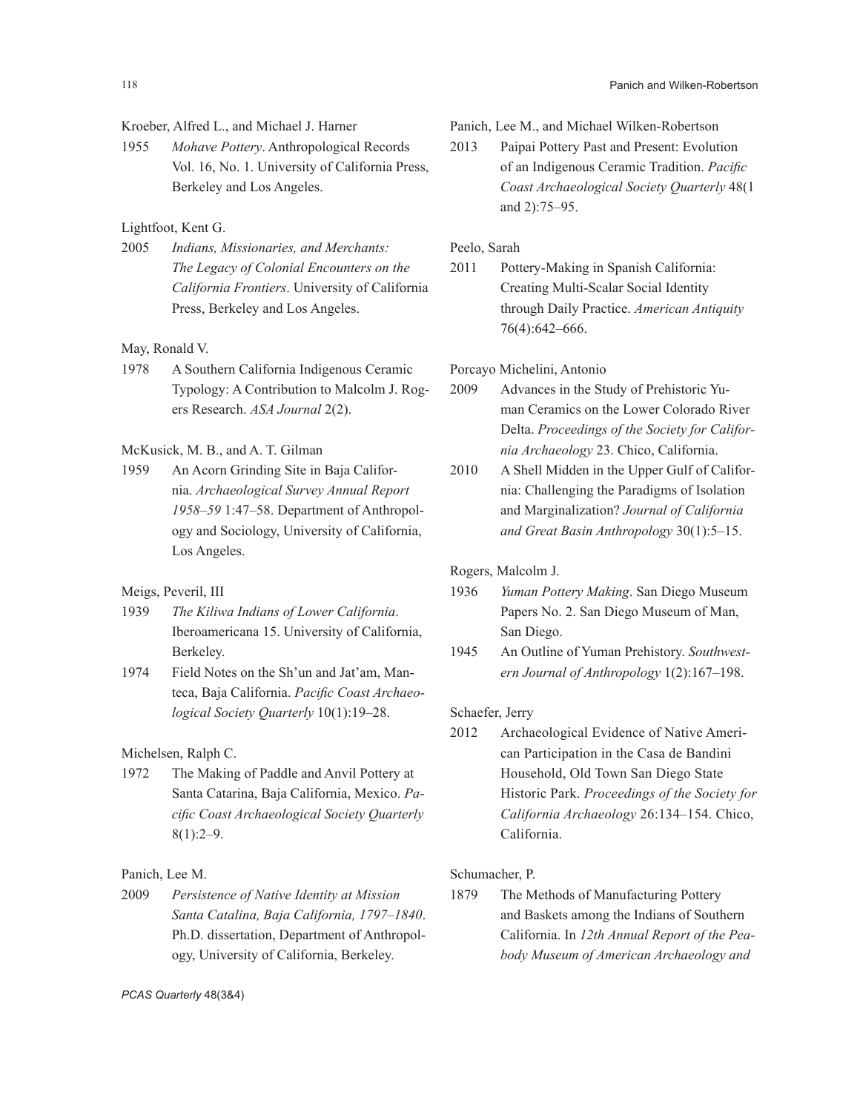# Kroeber, Alfred L., and Michael J. Harner

1955 *Mohave Pottery*. Anthropological Records Vol. 16, No. 1. University of California Press, Berkeley and Los Angeles.

# Lightfoot, Kent G.

2005 *Indians, Missionaries, and Merchants: The Legacy of Colonial Encounters on the California Frontiers*. University of California Press, Berkeley and Los Angeles.

## May, Ronald V.

1978 A Southern California Indigenous Ceramic Typology: A Contribution to Malcolm J. Rogers Research. *ASA Journal* 2(2).

# McKusick, M. B., and A. T. Gilman

1959 An Acorn Grinding Site in Baja California. *Archaeological Survey Annual Report 1958–59* 1:47–58. Department of Anthropology and Sociology, University of California, Los Angeles.

## Meigs, Peveril, III

- 1939 *The Kiliwa Indians of Lower California*. Iberoamericana 15. University of California, Berkeley.
- 1974 Field Notes on the Sh'un and Jat'am, Manteca, Baja California. *Pacific Coast Archaeological Society Quarterly* 10(1):19–28.

# Michelsen, Ralph C.

1972 The Making of Paddle and Anvil Pottery at Santa Catarina, Baja California, Mexico. *Pacific Coast Archaeological Society Quarterly*   $8(1):2-9.$ 

# Panich, Lee M.

2009 *Persistence of Native Identity at Mission Santa Catalina, Baja California, 1797–1840*. Ph.D. dissertation, Department of Anthropology, University of California, Berkeley.

Panich, Lee M., and Michael Wilken-Robertson

2013 Paipai Pottery Past and Present: Evolution of an Indigenous Ceramic Tradition. *Pacific Coast Archaeological Society Quarterly* 48(1 and 2):75–95.

# Peelo, Sarah

2011 Pottery-Making in Spanish California: Creating Multi-Scalar Social Identity through Daily Practice. *American Antiquity*  76(4):642–666.

# Porcayo Michelini, Antonio

- 2009 Advances in the Study of Prehistoric Yuman Ceramics on the Lower Colorado River Delta. *Proceedings of the Society for California Archaeology* 23. Chico, California.
- 2010 A Shell Midden in the Upper Gulf of California: Challenging the Paradigms of Isolation and Marginalization? *Journal of California and Great Basin Anthropology* 30(1):5–15.

## Rogers, Malcolm J.

- 1936 *Yuman Pottery Making*. San Diego Museum Papers No. 2. San Diego Museum of Man, San Diego.
- 1945 An Outline of Yuman Prehistory. *Southwestern Journal of Anthropology* 1(2):167–198.

#### Schaefer, Jerry

2012 Archaeological Evidence of Native American Participation in the Casa de Bandini Household, Old Town San Diego State Historic Park. *Proceedings of the Society for California Archaeology* 26:134–154. Chico, California.

#### Schumacher, P.

1879 The Methods of Manufacturing Pottery and Baskets among the Indians of Southern California. In *12th Annual Report of the Peabody Museum of American Archaeology and*